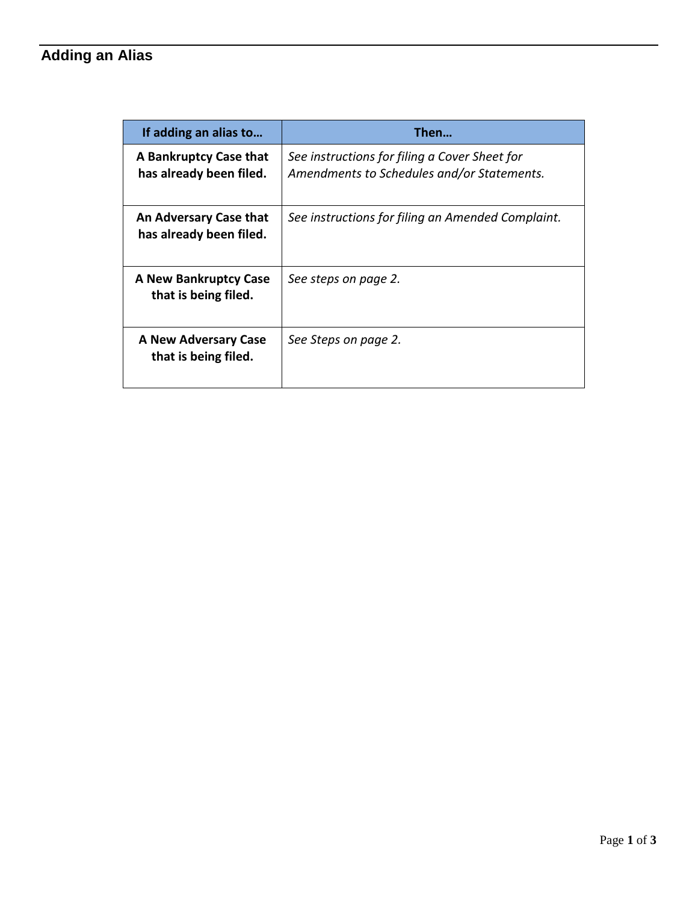## **Adding an Alias**

| If adding an alias to                             | Then                                                                                        |  |  |  |  |
|---------------------------------------------------|---------------------------------------------------------------------------------------------|--|--|--|--|
| A Bankruptcy Case that<br>has already been filed. | See instructions for filing a Cover Sheet for<br>Amendments to Schedules and/or Statements. |  |  |  |  |
| An Adversary Case that<br>has already been filed. | See instructions for filing an Amended Complaint.                                           |  |  |  |  |
| A New Bankruptcy Case<br>that is being filed.     | See steps on page 2.                                                                        |  |  |  |  |
| A New Adversary Case<br>that is being filed.      | See Steps on page 2.                                                                        |  |  |  |  |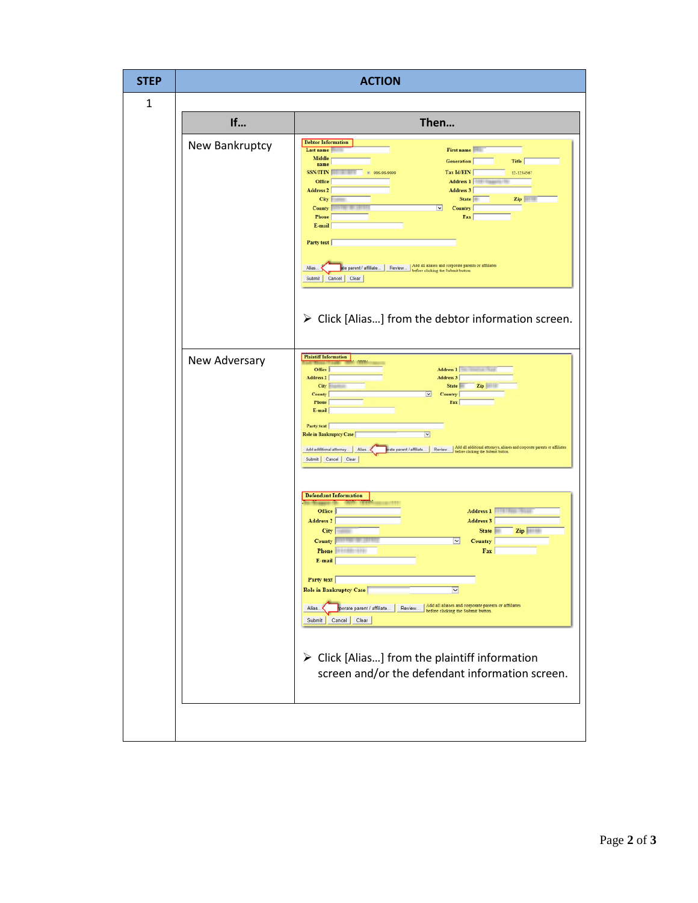| <b>STEP</b> | <b>ACTION</b>  |                                                                                                                                                                                                                                                                                                                                                                                                                                                                                                                                                                          |  |  |  |  |  |  |
|-------------|----------------|--------------------------------------------------------------------------------------------------------------------------------------------------------------------------------------------------------------------------------------------------------------------------------------------------------------------------------------------------------------------------------------------------------------------------------------------------------------------------------------------------------------------------------------------------------------------------|--|--|--|--|--|--|
| 1           |                |                                                                                                                                                                                                                                                                                                                                                                                                                                                                                                                                                                          |  |  |  |  |  |  |
|             | If<br>Then     |                                                                                                                                                                                                                                                                                                                                                                                                                                                                                                                                                                          |  |  |  |  |  |  |
|             | New Bankruptcy | <b>Debtor Information</b><br>First name<br>Last name<br>Middle<br><b>Title</b><br><b>Generation</b><br>name<br><b>SSN/ITIN</b><br>Tax Id/EIN<br>12-1234567<br>□ 999.99.9999<br>Address 1<br>Office<br>Address 2<br>Address 3<br>State<br>City<br>$\mathbf{Zip}$<br>Country<br>County<br>×<br>Phone<br>Fax<br>E-mail<br>Party text<br>le parent / affiliate   Review   Add all aliases and corporate parents or affiliates<br>Alias.<br>before clicking the Submit button<br>Cancel Clear<br>Submit<br>$\triangleright$ Click [Alias] from the debtor information screen. |  |  |  |  |  |  |
|             | New Adversary  | <b>Plaintiff Information</b><br>Office<br>Address 1<br>Address 2<br>Address 3<br>City<br><b>State</b><br>Zip<br><b>County</b><br><b>Country</b><br>Phone<br>Fax<br>$E$ -mail<br>Party text<br>Role in Bankruptcy Case<br>$\checkmark$<br>rate parent / affiliate.   Review.   Add all additional attorneys, aliases and corporate parents or affiliates<br>Add additional attorney   Alias.<br>Submit Cancel Clear                                                                                                                                                       |  |  |  |  |  |  |
|             |                | <b>Defendant Information</b><br>Office<br>Address 1<br><b>Address 3</b><br>Address 2<br><b>State</b><br>Zip<br><b>City</b><br><b>County</b><br><b>Country</b><br>×<br>Phone<br>Fax  <br>E-mail<br>Party text<br>Role in Bankruptcy Case<br>$\checkmark$<br>Review Add all aliases and corporate parents or affiliates<br>before clicking the Submit button.<br>Alias<br>porate parent / affiliate<br>Submit Cancel Clear<br>$\triangleright$ Click [Alias] from the plaintiff information<br>screen and/or the defendant information screen.                             |  |  |  |  |  |  |
|             |                |                                                                                                                                                                                                                                                                                                                                                                                                                                                                                                                                                                          |  |  |  |  |  |  |